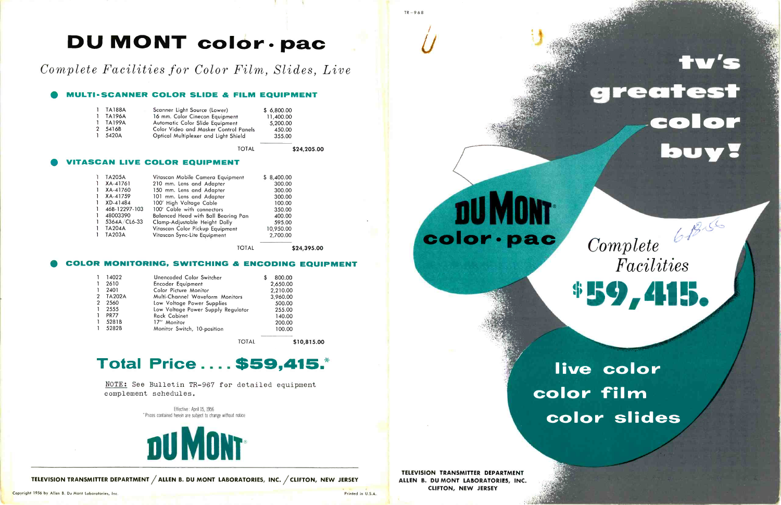## DU MONT color · pac

### Complete Facilities for Color Film, Slides, Live

#### MULTI- SCANNER COLOR SLIDE & FILM EQUIPMENT

| 1 TA188A   | Scanner Light Source (Lower)          | \$6.800.00 |
|------------|---------------------------------------|------------|
| 1 TA196A   | 16 mm. Color Cinecon Equipment        | 11,400.00  |
| $1$ TA199A | Automatic Color Slide Equipment       | 5,200.00   |
| 2 5416B    | Color Video and Masker Control Panels | 450.00     |
| 1.5420A    | Optical Multiplexer and Light Shield  | 355.00     |
|            |                                       |            |

TOTAL \$24,205.00

#### **TASCAN LIVE COLOR EQUIPMENT**

NOTE: See Bulletin TR-967 for detailed equipment complement schedules.

TOTAL \$24,395.00

#### COLOR MONITORING, SWITCHING & ENCODING EQUIPMENT

|               | 14022         | Unencoded Color Switcher           | 800.00   |
|---------------|---------------|------------------------------------|----------|
|               | 2610          | Encoder Equipment                  | 2,650.00 |
|               | 2401          | Color Picture Monitor              | 2,210.00 |
| $\mathcal{P}$ | <b>TA202A</b> | Multi-Channel Waveform Monitors    | 3,960.00 |
| 2             | 2560          | Low Voltage Power Supplies         | 500.00   |
|               | 2555          | Low Voltage Power Supply Regulator | 255.00   |
|               | <b>PR77</b>   | <b>Rack Cabinet</b>                | 140.00   |
|               | 5281B         | 17" Monitor                        | 200.00   |
|               | 5282B         | Monitor Switch, 10-position        | 100.00   |

TOTAL \$10,815.00

## Total Price .... \$59,415.\*

Effective : April 15, 1956 Prices contained herein are subject to change without notice



TELEVISION TRANSMITTER DEPARTMENT /ALLEN B. DU MONT LABORATORIES, INC. /CLIFTON, NEW JERSEY

Copyright 1956 by Allen B. Du Mont Laboratories, Inc. Printed in U.S.A.

TR-968

 $\mathcal{U}$ 

**DU MONT** 

color · pac



# live color color film color slides

TELEVISION TRANSMITTER DEPARTMENT ALLEN B. DU MONT LABORATORIES, INC. CLIFTON, NEW JERSEY

# tv's greatest color buy?